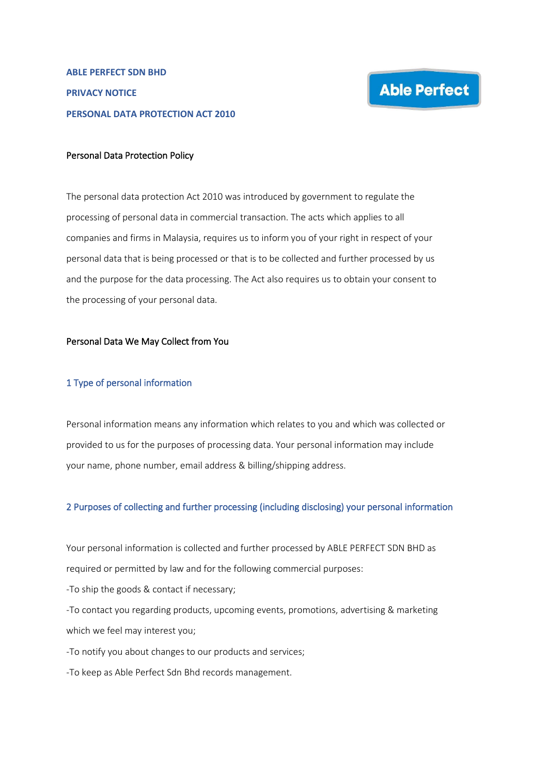## Personal Data Protection Policy

The personal data protection Act 2010 was introduced by government to regulate the processing of personal data in commercial transaction. The acts which applies to all companies and firms in Malaysia, requires us to inform you of your right in respect of your personal data that is being processed or that is to be collected and further processed by us and the purpose for the data processing. The Act also requires us to obtain your consent to the processing of your personal data.

## Personal Data We May Collect from You

#### 1 Type of personal information

Personal information means any information which relates to you and which was collected or provided to us for the purposes of processing data. Your personal information may include your name, phone number, email address & billing/shipping address.

### 2 Purposes of collecting and further processing (including disclosing) your personal information

Your personal information is collected and further processed by ABLE PERFECT SDN BHD as required or permitted by law and for the following commercial purposes:

-To ship the goods & contact if necessary;

-To contact you regarding products, upcoming events, promotions, advertising & marketing which we feel may interest you;

-To notify you about changes to our products and services;

-To keep as Able Perfect Sdn Bhd records management.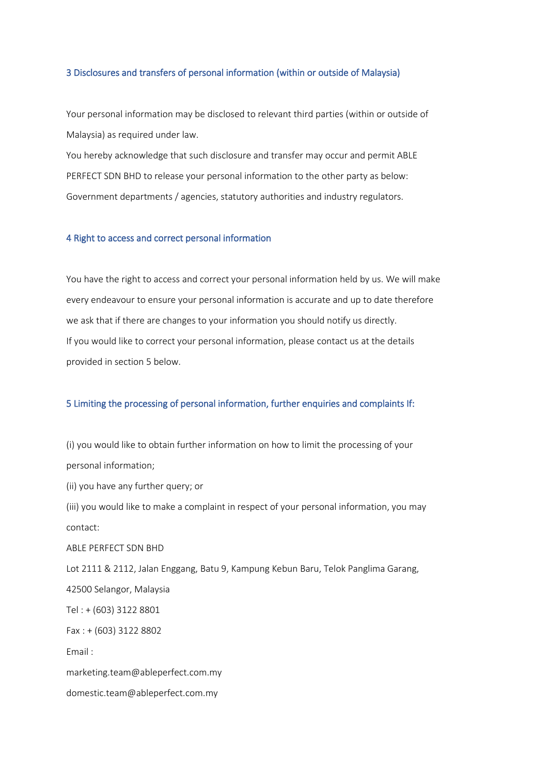#### 3 Disclosures and transfers of personal information (within or outside of Malaysia)

Your personal information may be disclosed to relevant third parties (within or outside of Malaysia) as required under law.

You hereby acknowledge that such disclosure and transfer may occur and permit ABLE PERFECT SDN BHD to release your personal information to the other party as below: Government departments / agencies, statutory authorities and industry regulators.

## 4 Right to access and correct personal information

You have the right to access and correct your personal information held by us. We will make every endeavour to ensure your personal information is accurate and up to date therefore we ask that if there are changes to your information you should notify us directly. If you would like to correct your personal information, please contact us at the details provided in section 5 below.

#### 5 Limiting the processing of personal information, further enquiries and complaints If:

(i) you would like to obtain further information on how to limit the processing of your personal information; (ii) you have any further query; or (iii) you would like to make a complaint in respect of your personal information, you may contact: ABLE PERFECT SDN BHD Lot 2111 & 2112, Jalan Enggang, Batu 9, Kampung Kebun Baru, Telok Panglima Garang, 42500 Selangor, Malaysia Tel : + (603) 3122 8801 Fax : + (603) 3122 8802 Email : marketing.team@ableperfect.com.my domestic.team@ableperfect.com.my